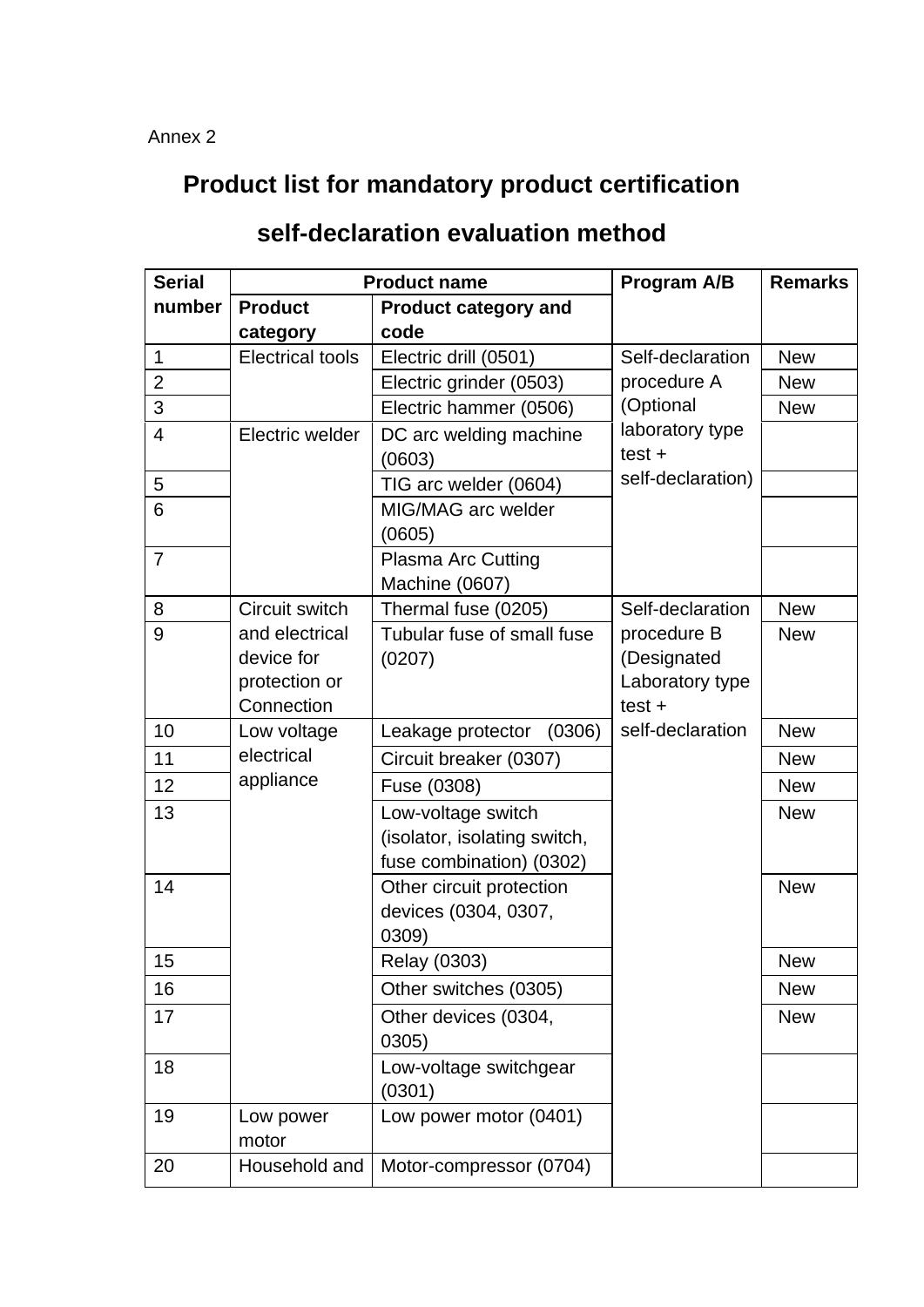## **Product list for mandatory product certification**

## **self-declaration evaluation method**

| <b>Serial</b>  | <b>Product name</b>                                         |                                                                                | <b>Program A/B</b>                                        | <b>Remarks</b> |
|----------------|-------------------------------------------------------------|--------------------------------------------------------------------------------|-----------------------------------------------------------|----------------|
| number         | <b>Product</b>                                              | <b>Product category and</b>                                                    |                                                           |                |
|                | category                                                    | code                                                                           |                                                           |                |
| $\mathbf{1}$   | <b>Electrical tools</b>                                     | Electric drill (0501)                                                          | Self-declaration                                          | <b>New</b>     |
| $\overline{2}$ |                                                             | Electric grinder (0503)                                                        | procedure A                                               | <b>New</b>     |
| 3              |                                                             | Electric hammer (0506)                                                         | (Optional                                                 | <b>New</b>     |
| $\overline{4}$ | Electric welder                                             | DC arc welding machine<br>(0603)                                               | laboratory type<br>$test +$                               |                |
| 5              |                                                             | TIG arc welder (0604)                                                          | self-declaration)                                         |                |
| 6              |                                                             | MIG/MAG arc welder<br>(0605)                                                   |                                                           |                |
| $\overline{7}$ |                                                             | <b>Plasma Arc Cutting</b><br>Machine (0607)                                    |                                                           |                |
| 8              | Circuit switch                                              | Thermal fuse (0205)                                                            | Self-declaration                                          | <b>New</b>     |
| 9              | and electrical<br>device for<br>protection or<br>Connection | Tubular fuse of small fuse<br>(0207)                                           | procedure B<br>(Designated<br>Laboratory type<br>$test +$ | <b>New</b>     |
| 10             | Low voltage                                                 | Leakage protector<br>(0306)                                                    | self-declaration                                          | <b>New</b>     |
| 11             | electrical                                                  | Circuit breaker (0307)                                                         |                                                           | <b>New</b>     |
| 12             | appliance                                                   | Fuse (0308)                                                                    |                                                           | <b>New</b>     |
| 13             |                                                             | Low-voltage switch<br>(isolator, isolating switch,<br>fuse combination) (0302) |                                                           | <b>New</b>     |
| 14             |                                                             | Other circuit protection<br>devices (0304, 0307,<br>0309)                      |                                                           | <b>New</b>     |
| 15             |                                                             | Relay (0303)                                                                   |                                                           | New            |
| 16             |                                                             | Other switches (0305)                                                          |                                                           | <b>New</b>     |
| 17             |                                                             | Other devices (0304,<br>0305)                                                  |                                                           | <b>New</b>     |
| 18             |                                                             | Low-voltage switchgear<br>(0301)                                               |                                                           |                |
| 19             | Low power<br>motor                                          | Low power motor (0401)                                                         |                                                           |                |
| 20             | Household and                                               | Motor-compressor (0704)                                                        |                                                           |                |